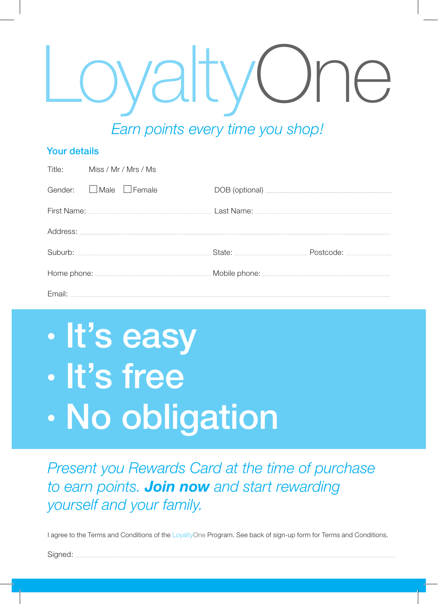## *JaltyC Earn points every time you shop!*

### Your details

| Title: Miss / Mr / Mrs / Ms                                                                                                                                                                                                    |  |
|--------------------------------------------------------------------------------------------------------------------------------------------------------------------------------------------------------------------------------|--|
| Gender: <b>L</b> Male <b>L</b> Female                                                                                                                                                                                          |  |
|                                                                                                                                                                                                                                |  |
|                                                                                                                                                                                                                                |  |
| Suburb: State: State: State: State: State: State: State: State: State: Suburb: State: State: State: State: State: State: State: State: State: State: State: State: State: State: State: State: State: State: State: State: Sta |  |
|                                                                                                                                                                                                                                |  |
|                                                                                                                                                                                                                                |  |

### • It's easy • It's free • No obligation

*Present you Rewards Card at the time of purchase to earn points. Join now and start rewarding yourself and your family.*

I agree to the Terms and Conditions of the LoyaltyOne Program. See back of sign-up form for Terms and Conditions.

Sianed: ...